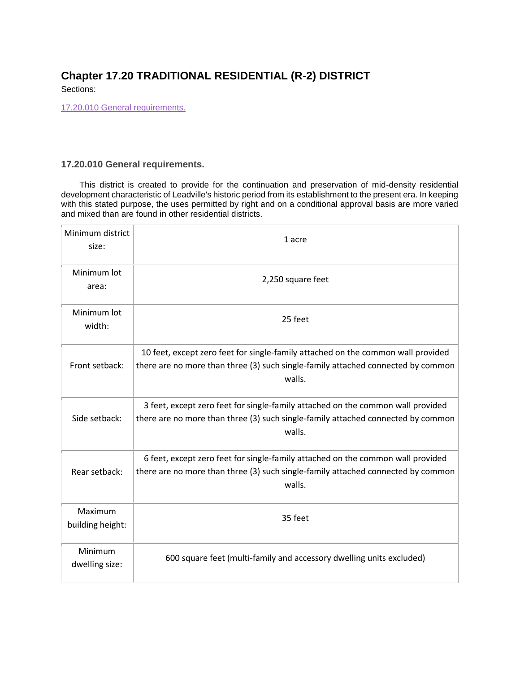## **Chapter 17.20 TRADITIONAL RESIDENTIAL (R-2) DISTRICT**

Sections:

[17.20.010 General requirements.](#page-0-0)

## <span id="page-0-0"></span>**17.20.010 General requirements.**

This district is created to provide for the continuation and preservation of mid-density residential development characteristic of Leadville's historic period from its establishment to the present era. In keeping with this stated purpose, the uses permitted by right and on a conditional approval basis are more varied and mixed than are found in other residential districts.

| Minimum district<br>size:   | 1 acre                                                                                                                                                                         |
|-----------------------------|--------------------------------------------------------------------------------------------------------------------------------------------------------------------------------|
| Minimum lot<br>area:        | 2,250 square feet                                                                                                                                                              |
| Minimum lot<br>width:       | 25 feet                                                                                                                                                                        |
| Front setback:              | 10 feet, except zero feet for single-family attached on the common wall provided<br>there are no more than three (3) such single-family attached connected by common<br>walls. |
| Side setback:               | 3 feet, except zero feet for single-family attached on the common wall provided<br>there are no more than three (3) such single-family attached connected by common<br>walls.  |
| Rear setback:               | 6 feet, except zero feet for single-family attached on the common wall provided<br>there are no more than three (3) such single-family attached connected by common<br>walls.  |
| Maximum<br>building height: | 35 feet                                                                                                                                                                        |
| Minimum<br>dwelling size:   | 600 square feet (multi-family and accessory dwelling units excluded)                                                                                                           |